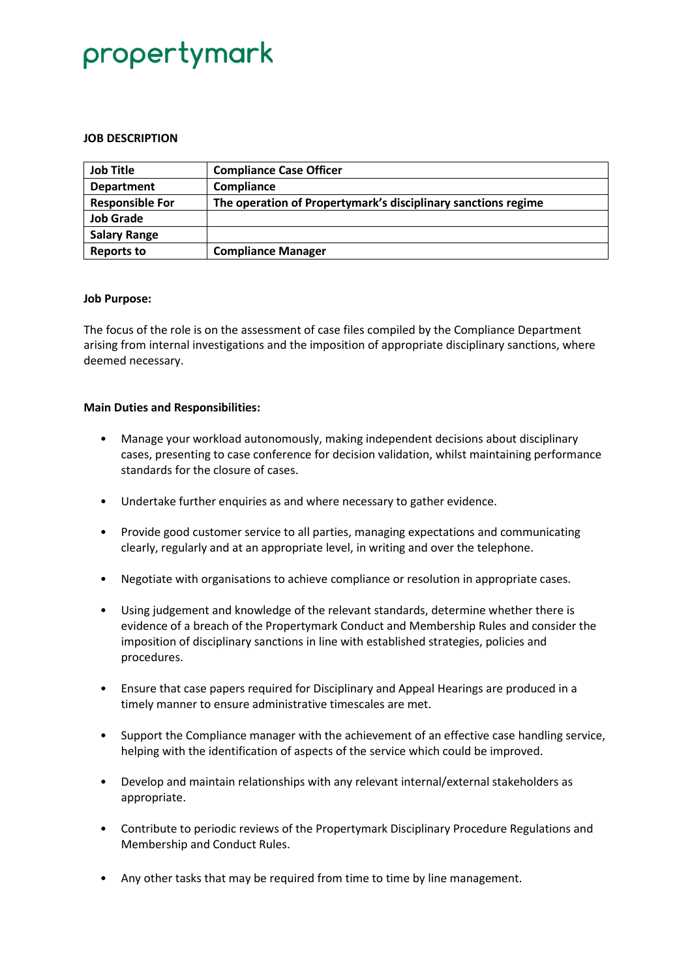## propertymark

### **JOB DESCRIPTION**

| <b>Job Title</b>       | <b>Compliance Case Officer</b>                                |
|------------------------|---------------------------------------------------------------|
| <b>Department</b>      | Compliance                                                    |
| <b>Responsible For</b> | The operation of Propertymark's disciplinary sanctions regime |
| <b>Job Grade</b>       |                                                               |
| <b>Salary Range</b>    |                                                               |
| <b>Reports to</b>      | <b>Compliance Manager</b>                                     |

### **Job Purpose:**

The focus of the role is on the assessment of case files compiled by the Compliance Department arising from internal investigations and the imposition of appropriate disciplinary sanctions, where deemed necessary.

### **Main Duties and Responsibilities:**

- Manage your workload autonomously, making independent decisions about disciplinary cases, presenting to case conference for decision validation, whilst maintaining performance standards for the closure of cases.
- Undertake further enquiries as and where necessary to gather evidence.
- Provide good customer service to all parties, managing expectations and communicating clearly, regularly and at an appropriate level, in writing and over the telephone.
- Negotiate with organisations to achieve compliance or resolution in appropriate cases.
- Using judgement and knowledge of the relevant standards, determine whether there is evidence of a breach of the Propertymark Conduct and Membership Rules and consider the imposition of disciplinary sanctions in line with established strategies, policies and procedures.
- Ensure that case papers required for Disciplinary and Appeal Hearings are produced in a timely manner to ensure administrative timescales are met.
- Support the Compliance manager with the achievement of an effective case handling service, helping with the identification of aspects of the service which could be improved.
- Develop and maintain relationships with any relevant internal/external stakeholders as appropriate.
- Contribute to periodic reviews of the Propertymark Disciplinary Procedure Regulations and Membership and Conduct Rules.
- Any other tasks that may be required from time to time by line management.